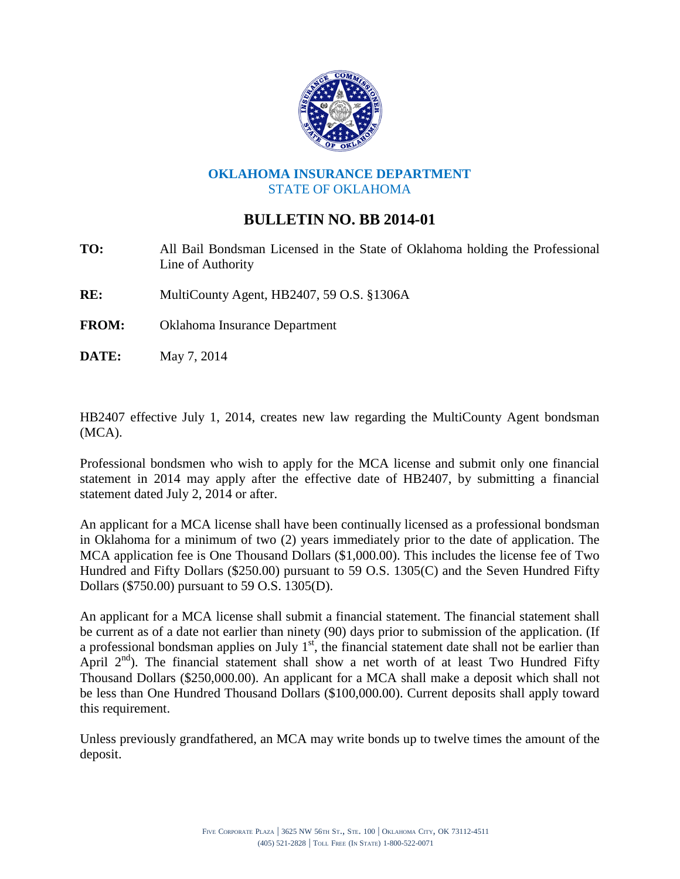

## **OKLAHOMA INSURANCE DEPARTMENT** STATE OF OKLAHOMA

## **BULLETIN NO. BB 2014-01**

- **TO:** All Bail Bondsman Licensed in the State of Oklahoma holding the Professional Line of Authority
- **RE:** MultiCounty Agent, HB2407, 59 O.S. §1306A
- **FROM:** Oklahoma Insurance Department
- **DATE:** May 7, 2014

HB2407 effective July 1, 2014, creates new law regarding the MultiCounty Agent bondsman (MCA).

Professional bondsmen who wish to apply for the MCA license and submit only one financial statement in 2014 may apply after the effective date of HB2407, by submitting a financial statement dated July 2, 2014 or after.

An applicant for a MCA license shall have been continually licensed as a professional bondsman in Oklahoma for a minimum of two (2) years immediately prior to the date of application. The MCA application fee is One Thousand Dollars (\$1,000.00). This includes the license fee of Two Hundred and Fifty Dollars (\$250.00) pursuant to 59 O.S. 1305(C) and the Seven Hundred Fifty Dollars (\$750.00) pursuant to 59 O.S. 1305(D).

An applicant for a MCA license shall submit a financial statement. The financial statement shall be current as of a date not earlier than ninety (90) days prior to submission of the application. (If a professional bondsman applies on July  $1<sup>st</sup>$ , the financial statement date shall not be earlier than April  $2<sup>nd</sup>$ ). The financial statement shall show a net worth of at least Two Hundred Fifty Thousand Dollars (\$250,000.00). An applicant for a MCA shall make a deposit which shall not be less than One Hundred Thousand Dollars (\$100,000.00). Current deposits shall apply toward this requirement.

Unless previously grandfathered, an MCA may write bonds up to twelve times the amount of the deposit.